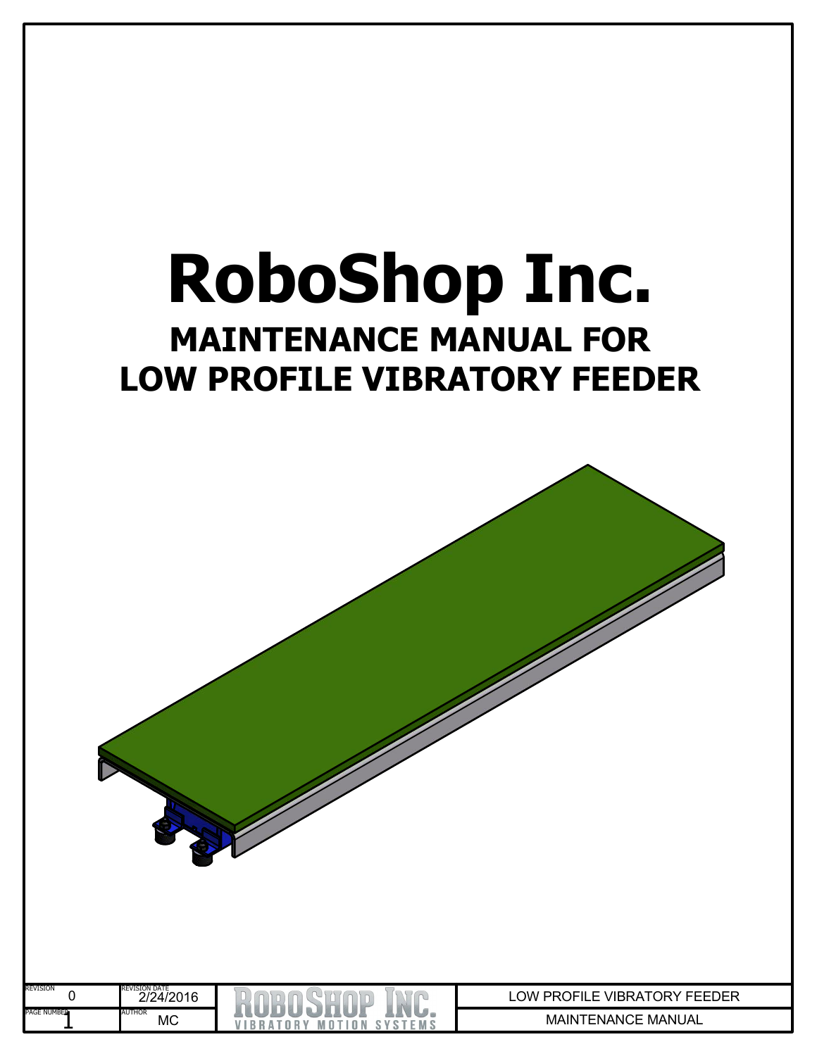# **RoboShop Inc. MAINTENANCE MANUAL FOR LOW PROFILE VIBRATORY FEEDER**

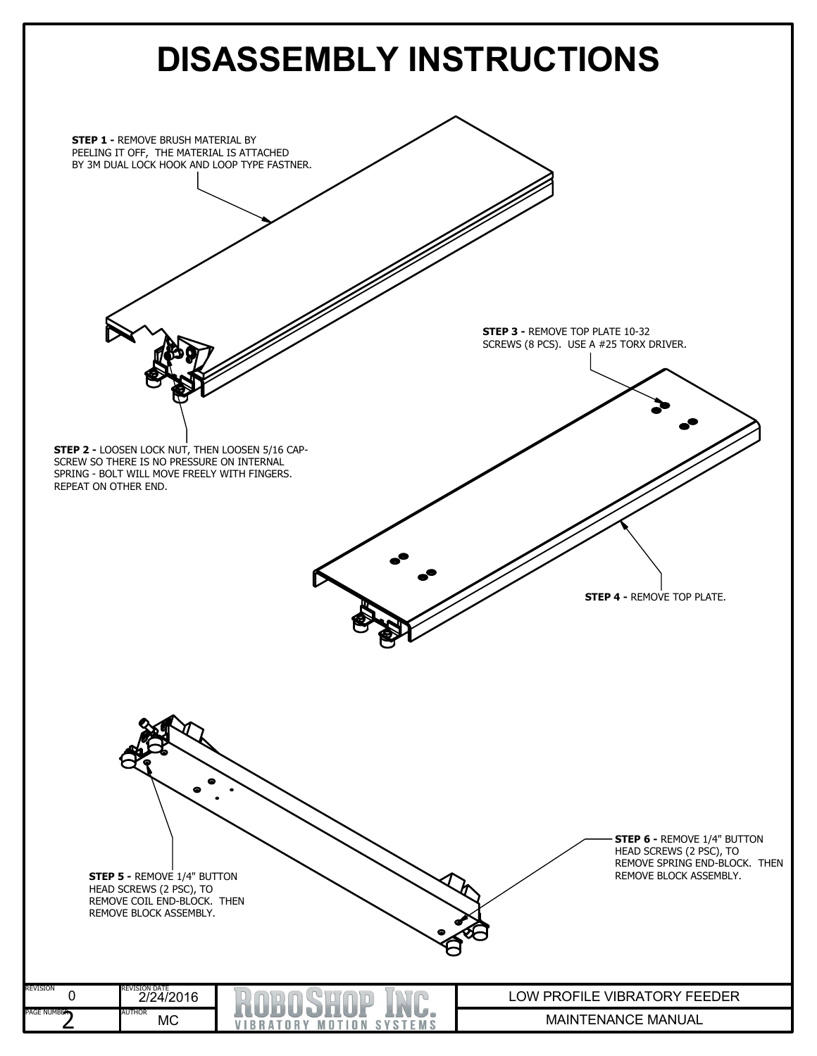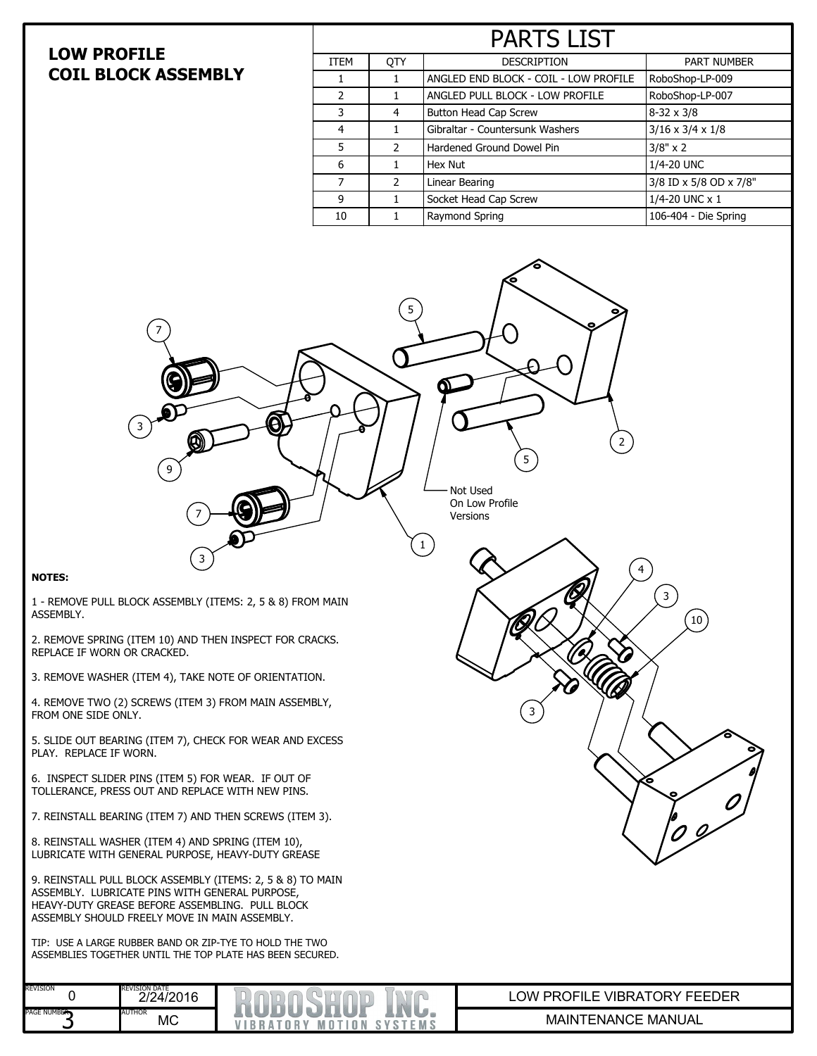## **LOW PROFILE COIL BLOCK ASSEMBLY**

| <b>PARTS LIST</b> |                |                                       |                              |  |  |
|-------------------|----------------|---------------------------------------|------------------------------|--|--|
| <b>ITEM</b>       | <b>OTY</b>     | <b>DESCRIPTION</b>                    | <b>PART NUMBER</b>           |  |  |
| 1                 | 1              | ANGLED END BLOCK - COIL - LOW PROFILE | RoboShop-LP-009              |  |  |
| $\overline{2}$    | 1              | ANGLED PULL BLOCK - LOW PROFILE       | RoboShop-LP-007              |  |  |
| 3                 | 4              | <b>Button Head Cap Screw</b>          | $8-32 \times 3/8$            |  |  |
| 4                 | 1              | Gibraltar - Countersunk Washers       | $3/16 \times 3/4 \times 1/8$ |  |  |
| 5                 | $\mathcal{P}$  | Hardened Ground Dowel Pin             | $3/8" \times 2$              |  |  |
| 6                 | 1              | Hex Nut                               | 1/4-20 UNC                   |  |  |
| 7                 | $\overline{2}$ | Linear Bearing                        | 3/8 ID x 5/8 OD x 7/8"       |  |  |
| 9                 | 1              | Socket Head Cap Screw                 | 1/4-20 UNC x 1               |  |  |
| 10                |                | Raymond Spring                        | 106-404 - Die Spring         |  |  |

3

Q.

2

 $\sqrt{3}$ 

 $\left(10\right)$ 

 $\mathcal{O}_j$ 

4

# 5 7 € 3 5 9 Not Used On Low Profile 7 Versions1 3

#### **NOTES:**

1 - REMOVE PULL BLOCK ASSEMBLY (ITEMS: 2, 5 & 8) FROM MAIN ASSEMBLY.

2. REMOVE SPRING (ITEM 10) AND THEN INSPECT FOR CRACKS. REPLACE IF WORN OR CRACKED.

3. REMOVE WASHER (ITEM 4), TAKE NOTE OF ORIENTATION.

4. REMOVE TWO (2) SCREWS (ITEM 3) FROM MAIN ASSEMBLY, FROM ONE SIDE ONLY.

5. SLIDE OUT BEARING (ITEM 7), CHECK FOR WEAR AND EXCESS PLAY. REPLACE IF WORN.

6. INSPECT SLIDER PINS (ITEM 5) FOR WEAR. IF OUT OF TOLLERANCE, PRESS OUT AND REPLACE WITH NEW PINS.

7. REINSTALL BEARING (ITEM 7) AND THEN SCREWS (ITEM 3).

8. REINSTALL WASHER (ITEM 4) AND SPRING (ITEM 10), LUBRICATE WITH GENERAL PURPOSE, HEAVY-DUTY GREASE

9. REINSTALL PULL BLOCK ASSEMBLY (ITEMS: 2, 5 & 8) TO MAIN ASSEMBLY. LUBRICATE PINS WITH GENERAL PURPOSE, HEAVY-DUTY GREASE BEFORE ASSEMBLING. PULL BLOCK ASSEMBLY SHOULD FREELY MOVE IN MAIN ASSEMBLY.

TIP: USE A LARGE RUBBER BAND OR ZIP-TYE TO HOLD THE TWO ASSEMBLIES TOGETHER UNTIL THE TOP PLATE HAS BEEN SECURED.

| <b>REVISION</b>    | <b>REVISION DATE</b><br>l/2016<br>$\sim$<br>, л | $\mathcal{L}_{\mathcal{A}}$<br>$\overline{\phantom{a}}$<br>v<br>M O<br>R<br>л | <b>FEEDER</b><br>∩W<br><b>VIBRAT</b><br>PR(<br>JR.<br>)⊢II<br>״<br>- |
|--------------------|-------------------------------------------------|-------------------------------------------------------------------------------|----------------------------------------------------------------------|
| <b>PAGE NUMBER</b> | AUTHOR<br>MC                                    |                                                                               | <b>TENANCE MANUAL</b><br><b>MAIN</b>                                 |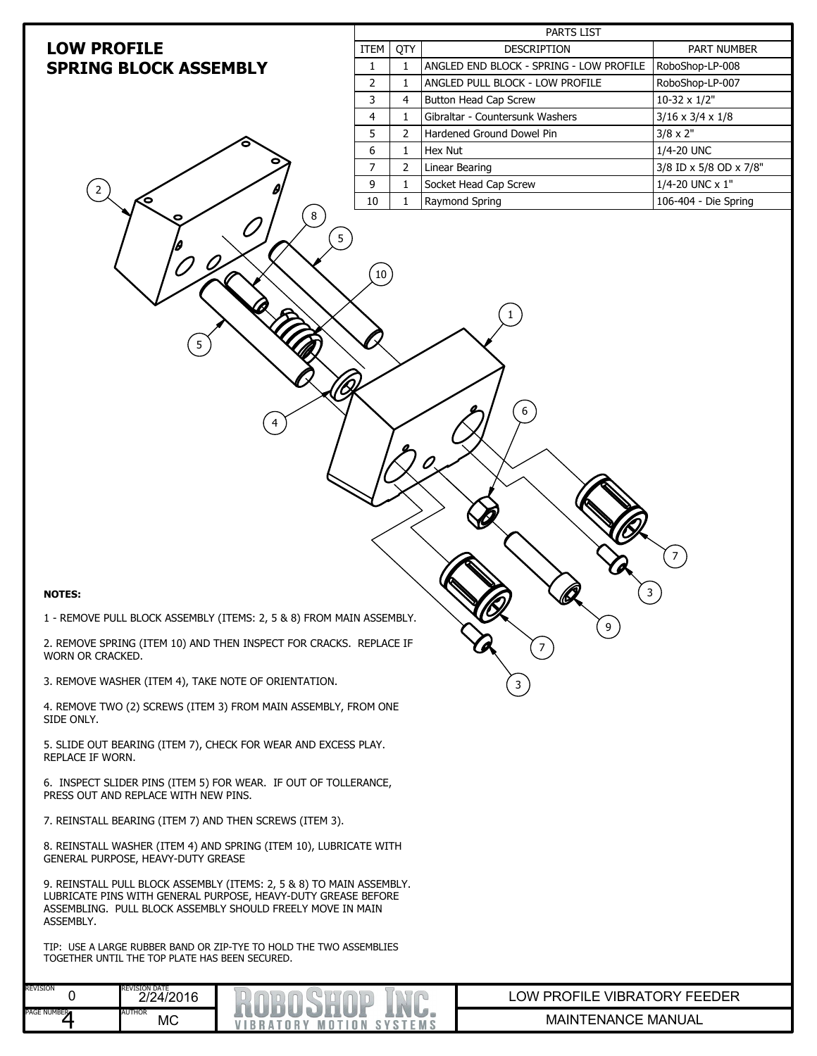### PARTS LIST ITEM | QTY | DESCRIPTION | PART NUMBER 1 | 1 | ANGLED END BLOCK - SPRING - LOW PROFILE | RoboShop-LP-008 2 | 1 | ANGLED PULL BLOCK - LOW PROFILE | RoboShop-LP-007 3 4 Button Head Cap Screw 10-32 x 1/2" 4 | 1 | Gibraltar - Countersunk Washers  $3/16 \times 3/4 \times 1/8$  $\begin{array}{|c|c|c|c|}\n5 & 2 & \text{Hardened Ground Powell Pin} \end{array}$   $\begin{array}{|c|c|c|}\n3/8 \times 2^n & & \end{array}$ 6 1 Hex Nut 1/4-20 UNC 7 | 2 | Linear Bearing 3/8 ID x 5/8 OD x 7/8" 9  $\vert$  1  $\vert$  Socket Head Cap Screw  $\vert$  1/4-20 UNC x 1" 10 | 1 | Raymond Spring 106-404 - Die Spring LOW PROFILE VIBRATORY FEEDER 0 PAGE NUMBER **AUTHOR** REVISION DATE 2/24/2016 REVISION **NOTES:** 1 - REMOVE PULL BLOCK ASSEMBLY (ITEMS: 2, 5 & 8) FROM MAIN ASSEMBLY. 2. REMOVE SPRING (ITEM 10) AND THEN INSPECT FOR CRACKS. REPLACE IF WORN OR CRACKED. 3. REMOVE WASHER (ITEM 4), TAKE NOTE OF ORIENTATION. 4. REMOVE TWO (2) SCREWS (ITEM 3) FROM MAIN ASSEMBLY, FROM ONE SIDE ONLY. 5. SLIDE OUT BEARING (ITEM 7), CHECK FOR WEAR AND EXCESS PLAY. REPLACE IF WORN. 6. INSPECT SLIDER PINS (ITEM 5) FOR WEAR. IF OUT OF TOLLERANCE, PRESS OUT AND REPLACE WITH NEW PINS. 7. REINSTALL BEARING (ITEM 7) AND THEN SCREWS (ITEM 3). 8. REINSTALL WASHER (ITEM 4) AND SPRING (ITEM 10), LUBRICATE WITH GENERAL PURPOSE, HEAVY-DUTY GREASE 9. REINSTALL PULL BLOCK ASSEMBLY (ITEMS: 2, 5 & 8) TO MAIN ASSEMBLY. LUBRICATE PINS WITH GENERAL PURPOSE, HEAVY-DUTY GREASE BEFORE ASSEMBLING. PULL BLOCK ASSEMBLY SHOULD FREELY MOVE IN MAIN ASSEMBLY. TIP: USE A LARGE RUBBER BAND OR ZIP-TYE TO HOLD THE TWO ASSEMBLIES TOGETHER UNTIL THE TOP PLATE HAS BEEN SECURED. **LOW PROFILE SPRING BLOCK ASSEMBLY** 2 5 5  $\left(10\right)$ 4 8 6 7 3 9 7 3 1

4

MC

**VIBRATORY MOTION** 

**SYSTEMS** 

MAINTENANCE MANUAL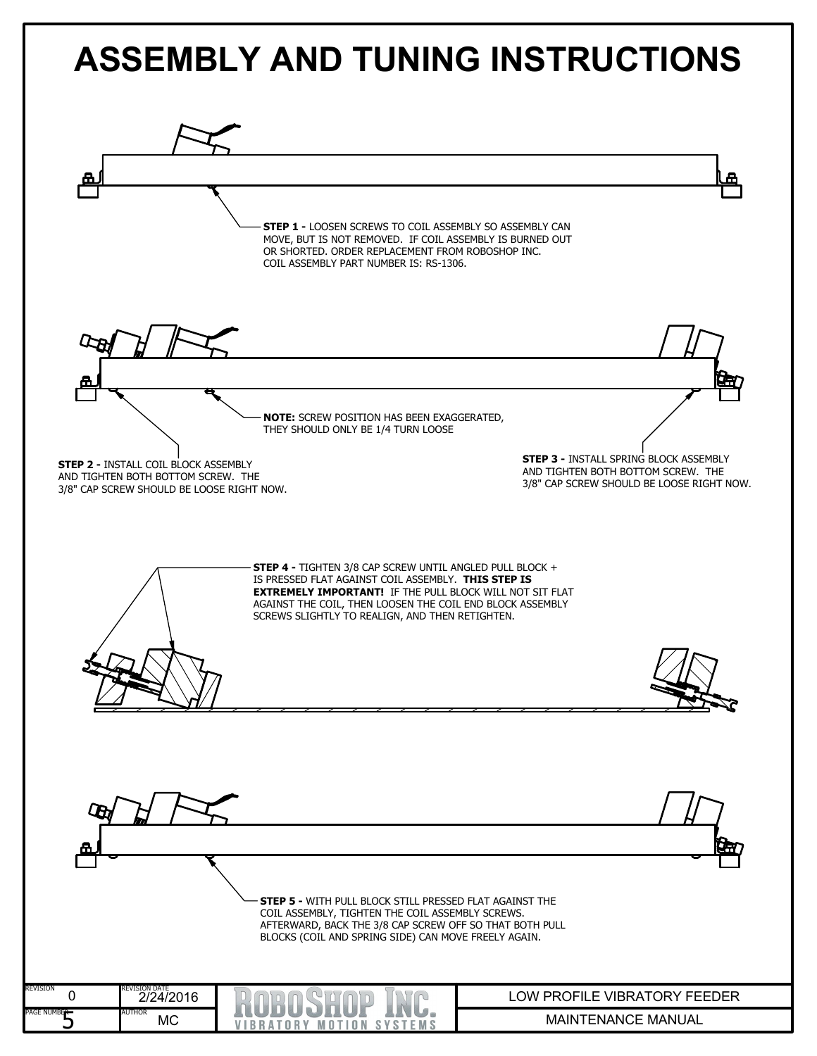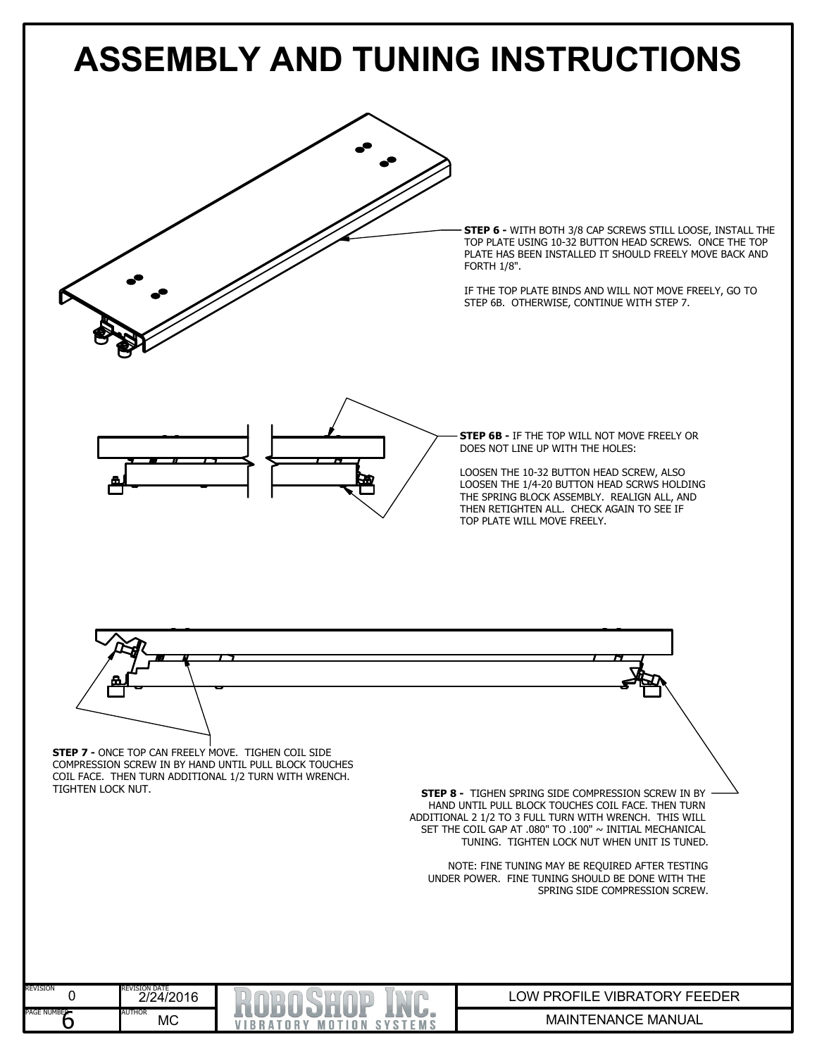

**VIBRATORY MOTION SYSTEMS**